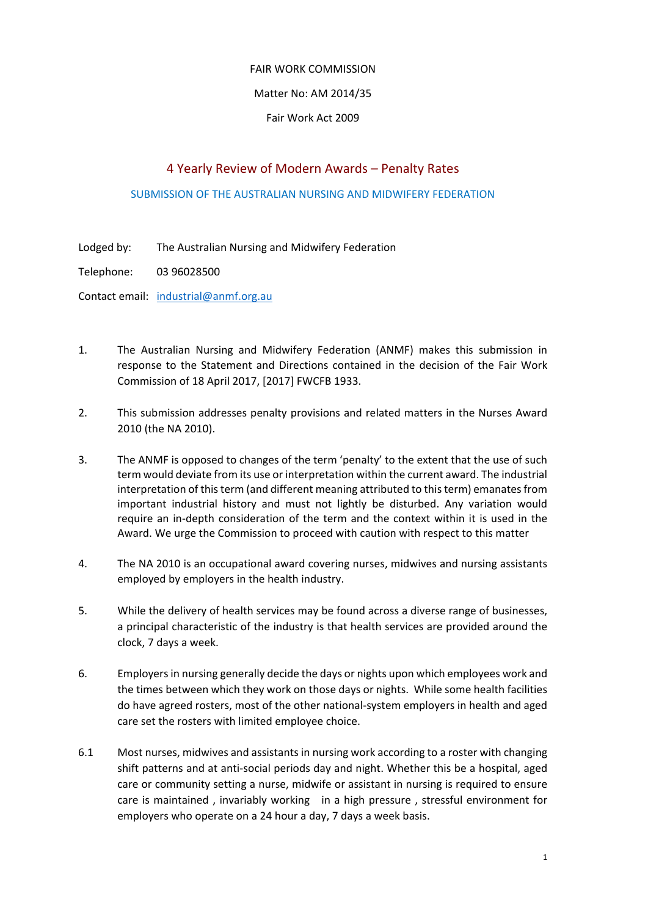## FAIR WORK COMMISSION

## Matter No: AM 2014/35

## Fair Work Act 2009

# 4 Yearly Review of Modern Awards – Penalty Rates

#### SUBMISSION OF THE AUSTRALIAN NURSING AND MIDWIFERY FEDERATION

- Lodged by: The Australian Nursing and Midwifery Federation
- Telephone: 03 96028500

Contact email: industrial@anmf.org.au

- 1. The Australian Nursing and Midwifery Federation (ANMF) makes this submission in response to the Statement and Directions contained in the decision of the Fair Work Commission of 18 April 2017, [2017] FWCFB 1933.
- 2. This submission addresses penalty provisions and related matters in the Nurses Award 2010 (the NA 2010).
- 3. The ANMF is opposed to changes of the term 'penalty' to the extent that the use of such term would deviate from its use or interpretation within the current award. The industrial interpretation of this term (and different meaning attributed to this term) emanates from important industrial history and must not lightly be disturbed. Any variation would require an in‐depth consideration of the term and the context within it is used in the Award. We urge the Commission to proceed with caution with respect to this matter
- 4. The NA 2010 is an occupational award covering nurses, midwives and nursing assistants employed by employers in the health industry.
- 5. While the delivery of health services may be found across a diverse range of businesses, a principal characteristic of the industry is that health services are provided around the clock, 7 days a week.
- 6. Employersin nursing generally decide the days or nights upon which employees work and the times between which they work on those days or nights. While some health facilities do have agreed rosters, most of the other national‐system employers in health and aged care set the rosters with limited employee choice.
- 6.1 Most nurses, midwives and assistants in nursing work according to a roster with changing shift patterns and at anti‐social periods day and night. Whether this be a hospital, aged care or community setting a nurse, midwife or assistant in nursing is required to ensure care is maintained , invariably working in a high pressure , stressful environment for employers who operate on a 24 hour a day, 7 days a week basis.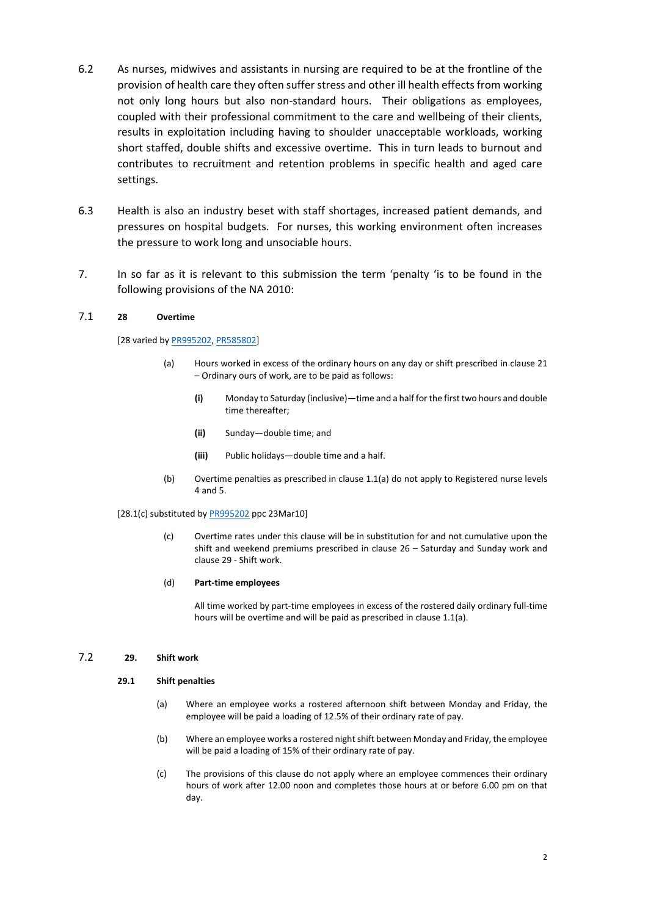- 6.2 As nurses, midwives and assistants in nursing are required to be at the frontline of the provision of health care they often suffer stress and other ill health effects from working not only long hours but also non-standard hours. Their obligations as employees, coupled with their professional commitment to the care and wellbeing of their clients, results in exploitation including having to shoulder unacceptable workloads, working short staffed, double shifts and excessive overtime. This in turn leads to burnout and contributes to recruitment and retention problems in specific health and aged care settings.
- 6.3 Health is also an industry beset with staff shortages, increased patient demands, and pressures on hospital budgets. For nurses, this working environment often increases the pressure to work long and unsociable hours.
- 7. In so far as it is relevant to this submission the term 'penalty 'is to be found in the following provisions of the NA 2010:

#### 7.1 **28 Overtime**

[28 varied by PR995202, PR585802]

- (a) Hours worked in excess of the ordinary hours on any day or shift prescribed in clause 21 – Ordinary ours of work, are to be paid as follows:
	- **(i)** Monday to Saturday (inclusive)—time and a half forthe first two hours and double time thereafter;
	- **(ii)** Sunday—double time; and
	- **(iii)** Public holidays—double time and a half.
- (b) Overtime penalties as prescribed in clause 1.1(a) do not apply to Registered nurse levels 4 and 5.

#### [28.1(c) substituted by PR995202 ppc 23Mar10]

(c) Overtime rates under this clause will be in substitution for and not cumulative upon the shift and weekend premiums prescribed in clause 26 – Saturday and Sunday work and clause 29 ‐ Shift work.

#### (d) **Part‐time employees**

All time worked by part‐time employees in excess of the rostered daily ordinary full‐time hours will be overtime and will be paid as prescribed in clause 1.1(a).

#### 7.2 **29. Shift work**

#### **29.1 Shift penalties**

- (a) Where an employee works a rostered afternoon shift between Monday and Friday, the employee will be paid a loading of 12.5% of their ordinary rate of pay.
- (b) Where an employee works a rostered nightshift between Monday and Friday, the employee will be paid a loading of 15% of their ordinary rate of pay.
- (c) The provisions of this clause do not apply where an employee commences their ordinary hours of work after 12.00 noon and completes those hours at or before 6.00 pm on that day.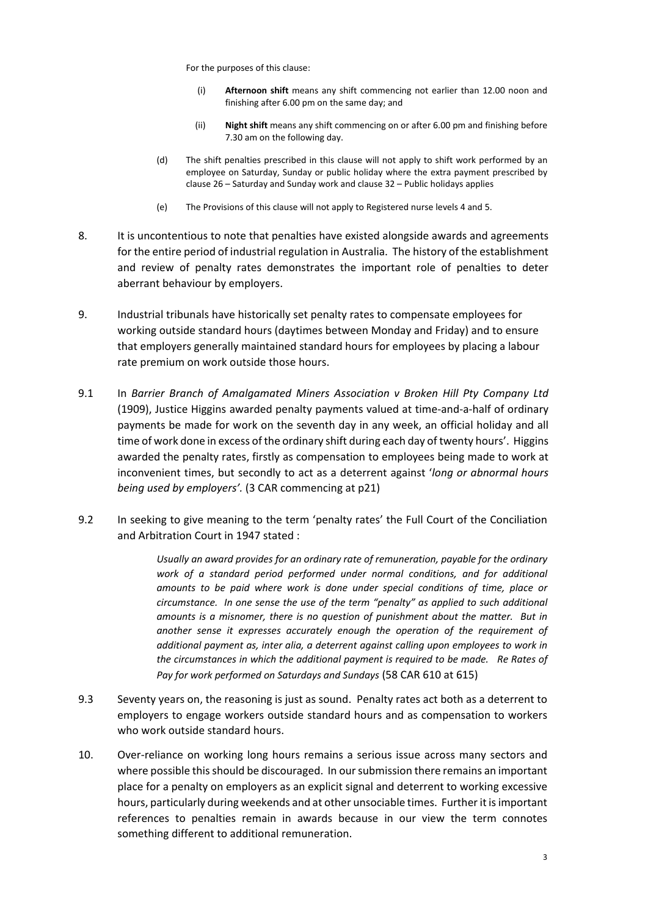For the purposes of this clause:

- (i) **Afternoon shift** means any shift commencing not earlier than 12.00 noon and finishing after 6.00 pm on the same day; and
- (ii) **Night shift** means any shift commencing on or after 6.00 pm and finishing before 7.30 am on the following day.
- (d) The shift penalties prescribed in this clause will not apply to shift work performed by an employee on Saturday, Sunday or public holiday where the extra payment prescribed by clause 26 – Saturday and Sunday work and clause 32 – Public holidays applies
- (e) The Provisions of this clause will not apply to Registered nurse levels 4 and 5.
- 8. It is uncontentious to note that penalties have existed alongside awards and agreements for the entire period of industrial regulation in Australia. The history of the establishment and review of penalty rates demonstrates the important role of penalties to deter aberrant behaviour by employers.
- 9. Industrial tribunals have historically set penalty rates to compensate employees for working outside standard hours (daytimes between Monday and Friday) and to ensure that employers generally maintained standard hours for employees by placing a labour rate premium on work outside those hours.
- 9.1 In *Barrier Branch of Amalgamated Miners Association v Broken Hill Pty Company Ltd* (1909), Justice Higgins awarded penalty payments valued at time‐and‐a‐half of ordinary payments be made for work on the seventh day in any week, an official holiday and all time of work done in excess of the ordinary shift during each day of twenty hours'. Higgins awarded the penalty rates, firstly as compensation to employees being made to work at inconvenient times, but secondly to act as a deterrent against '*long or abnormal hours being used by employers'.* (3 CAR commencing at p21)
- 9.2 In seeking to give meaning to the term 'penalty rates' the Full Court of the Conciliation and Arbitration Court in 1947 stated :

*Usually an award provides for an ordinary rate of remuneration, payable for the ordinary work of a standard period performed under normal conditions, and for additional amounts to be paid where work is done under special conditions of time, place or circumstance. In one sense the use of the term "penalty" as applied to such additional amounts is a misnomer, there is no question of punishment about the matter. But in another sense it expresses accurately enough the operation of the requirement of additional payment as, inter alia, a deterrent against calling upon employees to work in the circumstances in which the additional payment is required to be made. Re Rates of Pay for work performed on Saturdays and Sundays* (58 CAR 610 at 615)

- 9.3 Seventy years on, the reasoning is just as sound. Penalty rates act both as a deterrent to employers to engage workers outside standard hours and as compensation to workers who work outside standard hours.
- 10. Over-reliance on working long hours remains a serious issue across many sectors and where possible this should be discouraged. In our submission there remains an important place for a penalty on employers as an explicit signal and deterrent to working excessive hours, particularly during weekends and at other unsociable times. Further it isimportant references to penalties remain in awards because in our view the term connotes something different to additional remuneration.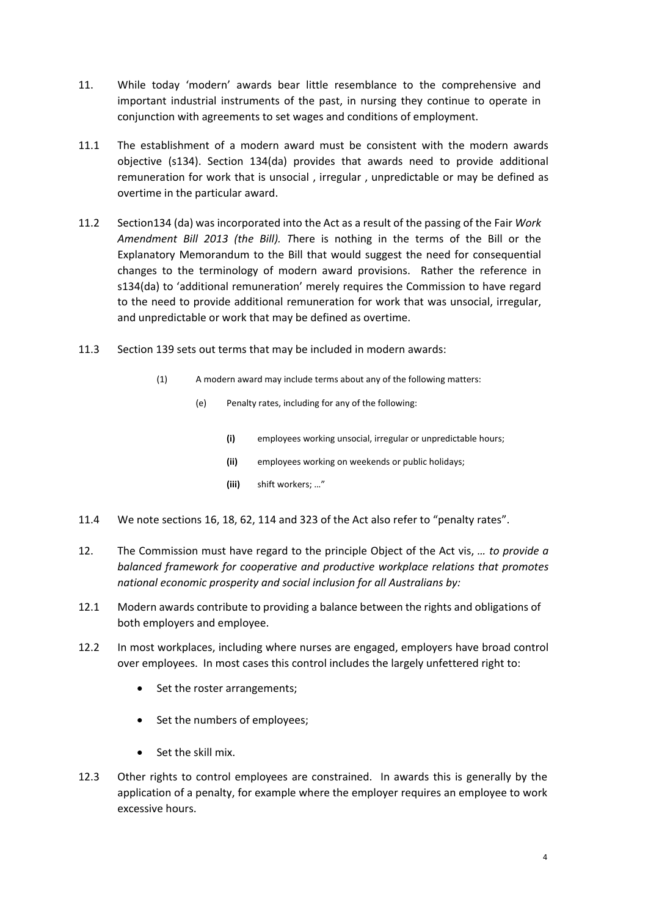- 11. While today 'modern' awards bear little resemblance to the comprehensive and important industrial instruments of the past, in nursing they continue to operate in conjunction with agreements to set wages and conditions of employment.
- 11.1 The establishment of a modern award must be consistent with the modern awards objective (s134). Section 134(da) provides that awards need to provide additional remuneration for work that is unsocial , irregular , unpredictable or may be defined as overtime in the particular award.
- 11.2 Section134 (da) was incorporated into the Act as a result of the passing of the Fair *Work Amendment Bill 2013 (the Bill). T*here is nothing in the terms of the Bill or the Explanatory Memorandum to the Bill that would suggest the need for consequential changes to the terminology of modern award provisions. Rather the reference in s134(da) to 'additional remuneration' merely requires the Commission to have regard to the need to provide additional remuneration for work that was unsocial, irregular, and unpredictable or work that may be defined as overtime.
- 11.3 Section 139 sets out terms that may be included in modern awards:
	- (1) A modern award may include terms about any of the following matters:
		- (e) Penalty rates, including for any of the following:
			- **(i)** employees working unsocial, irregular or unpredictable hours;
			- **(ii)** employees working on weekends or public holidays;
			- **(iii)** shift workers; …"
- 11.4 We note sections 16, 18, 62, 114 and 323 of the Act also refer to "penalty rates".
- 12. The Commission must have regard to the principle Object of the Act vis, *… to provide a balanced framework for cooperative and productive workplace relations that promotes national economic prosperity and social inclusion for all Australians by:*
- 12.1 Modern awards contribute to providing a balance between the rights and obligations of both employers and employee.
- 12.2 In most workplaces, including where nurses are engaged, employers have broad control over employees. In most cases this control includes the largely unfettered right to:
	- Set the roster arrangements;
	- Set the numbers of employees;
	- Set the skill mix.
- 12.3 Other rights to control employees are constrained. In awards this is generally by the application of a penalty, for example where the employer requires an employee to work excessive hours.